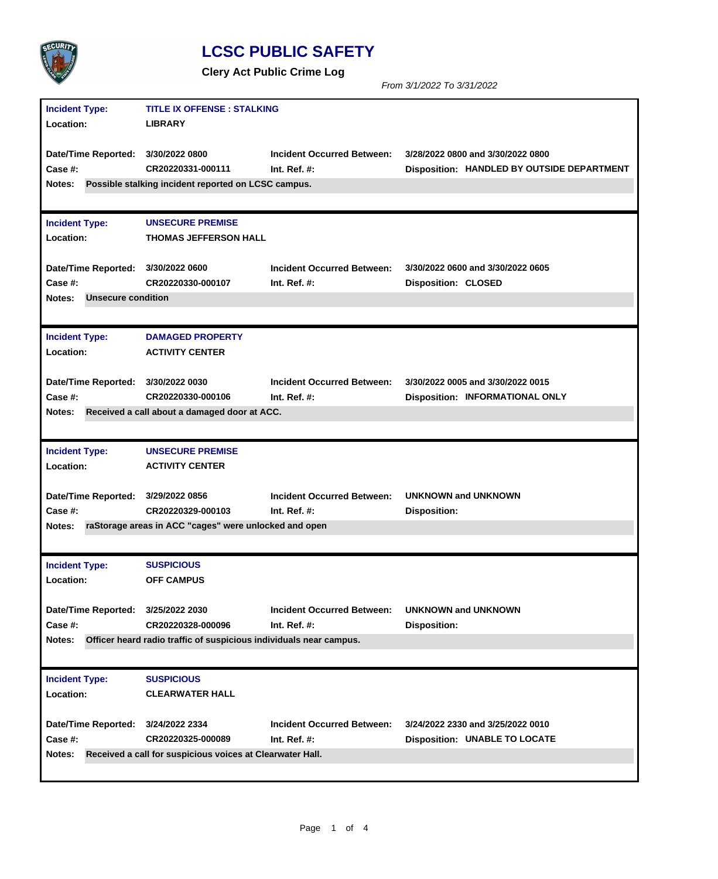

## **LCSC PUBLIC SAFETY**

**Clery Act Public Crime Log**

*From 3/1/2022 To 3/31/2022*

| <b>Incident Type:</b>               | <b>TITLE IX OFFENSE : STALKING</b>                                 |                                   |                                            |
|-------------------------------------|--------------------------------------------------------------------|-----------------------------------|--------------------------------------------|
| Location:                           | <b>LIBRARY</b>                                                     |                                   |                                            |
|                                     |                                                                    |                                   |                                            |
| Date/Time Reported: 3/30/2022 0800  |                                                                    | <b>Incident Occurred Between:</b> | 3/28/2022 0800 and 3/30/2022 0800          |
| Case #:                             | CR20220331-000111                                                  | Int. $Ref. #:$                    | Disposition: HANDLED BY OUTSIDE DEPARTMENT |
| Notes:                              | Possible stalking incident reported on LCSC campus.                |                                   |                                            |
|                                     |                                                                    |                                   |                                            |
| <b>Incident Type:</b>               | <b>UNSECURE PREMISE</b>                                            |                                   |                                            |
| <b>Location:</b>                    | <b>THOMAS JEFFERSON HALL</b>                                       |                                   |                                            |
|                                     |                                                                    |                                   |                                            |
| Date/Time Reported: 3/30/2022 0600  |                                                                    | <b>Incident Occurred Between:</b> | 3/30/2022 0600 and 3/30/2022 0605          |
| Case #:                             | CR20220330-000107                                                  | Int. $Ref. #:$                    | <b>Disposition: CLOSED</b>                 |
| <b>Unsecure condition</b><br>Notes: |                                                                    |                                   |                                            |
|                                     |                                                                    |                                   |                                            |
| <b>Incident Type:</b>               | <b>DAMAGED PROPERTY</b>                                            |                                   |                                            |
| Location:                           | <b>ACTIVITY CENTER</b>                                             |                                   |                                            |
|                                     |                                                                    |                                   |                                            |
| Date/Time Reported: 3/30/2022 0030  |                                                                    | <b>Incident Occurred Between:</b> | 3/30/2022 0005 and 3/30/2022 0015          |
| Case #:                             | CR20220330-000106                                                  | Int. Ref. $#$ :                   | <b>Disposition: INFORMATIONAL ONLY</b>     |
| Notes:                              | Received a call about a damaged door at ACC.                       |                                   |                                            |
|                                     |                                                                    |                                   |                                            |
|                                     |                                                                    |                                   |                                            |
|                                     |                                                                    |                                   |                                            |
| <b>Incident Type:</b>               | <b>UNSECURE PREMISE</b>                                            |                                   |                                            |
| <b>Location:</b>                    | <b>ACTIVITY CENTER</b>                                             |                                   |                                            |
|                                     |                                                                    |                                   |                                            |
| Date/Time Reported: 3/29/2022 0856  |                                                                    | <b>Incident Occurred Between:</b> | <b>UNKNOWN and UNKNOWN</b>                 |
| <b>Case #:</b>                      | CR20220329-000103                                                  | Int. Ref. $#$ :                   | <b>Disposition:</b>                        |
| Notes:                              | raStorage areas in ACC "cages" were unlocked and open              |                                   |                                            |
|                                     |                                                                    |                                   |                                            |
| <b>Incident Type:</b>               | <b>SUSPICIOUS</b>                                                  |                                   |                                            |
| Location:                           | <b>OFF CAMPUS</b>                                                  |                                   |                                            |
|                                     |                                                                    |                                   |                                            |
| Date/Time Reported: 3/25/2022 2030  |                                                                    | <b>Incident Occurred Between:</b> | <b>UNKNOWN and UNKNOWN</b>                 |
| Case #:                             | CR20220328-000096                                                  | Int. Ref. #:                      | <b>Disposition:</b>                        |
| <b>Notes:</b>                       | Officer heard radio traffic of suspicious individuals near campus. |                                   |                                            |
|                                     |                                                                    |                                   |                                            |
| <b>Incident Type:</b>               | <b>SUSPICIOUS</b>                                                  |                                   |                                            |
| Location:                           | <b>CLEARWATER HALL</b>                                             |                                   |                                            |
|                                     |                                                                    |                                   |                                            |
| <b>Date/Time Reported:</b>          | 3/24/2022 2334                                                     | <b>Incident Occurred Between:</b> | 3/24/2022 2330 and 3/25/2022 0010          |
| Case #:                             | CR20220325-000089                                                  | Int. Ref. $#$ :                   | <b>Disposition: UNABLE TO LOCATE</b>       |
| Notes:                              | Received a call for suspicious voices at Clearwater Hall.          |                                   |                                            |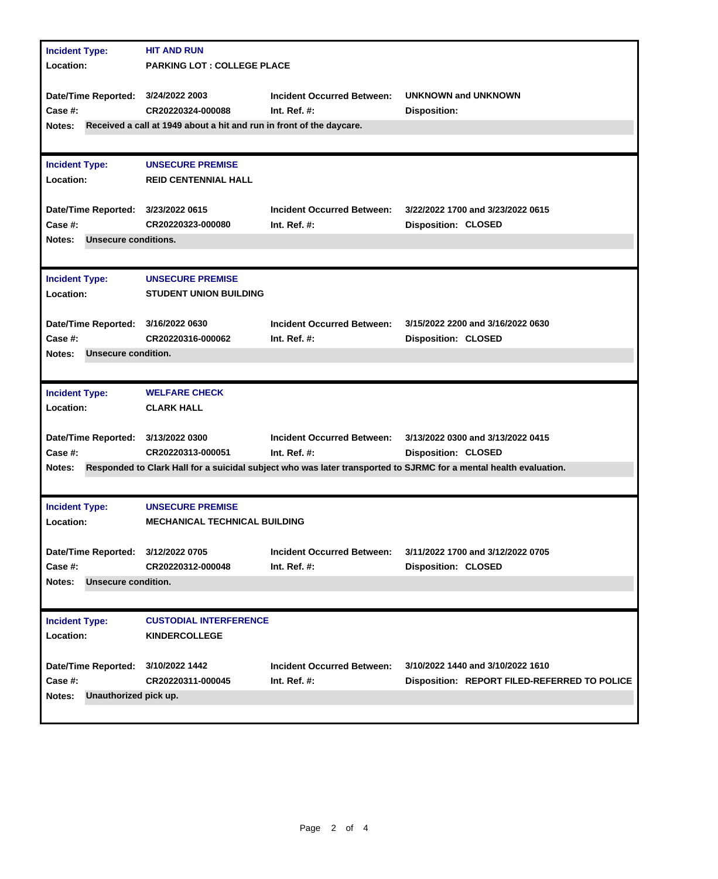| <b>Incident Type:</b>                | <b>HIT AND RUN</b>                                                   |                                   |                                                                                                                   |  |
|--------------------------------------|----------------------------------------------------------------------|-----------------------------------|-------------------------------------------------------------------------------------------------------------------|--|
| <b>Location:</b>                     | <b>PARKING LOT: COLLEGE PLACE</b>                                    |                                   |                                                                                                                   |  |
|                                      |                                                                      |                                   |                                                                                                                   |  |
| Date/Time Reported: 3/24/2022 2003   |                                                                      | <b>Incident Occurred Between:</b> | <b>UNKNOWN and UNKNOWN</b>                                                                                        |  |
| Case #:                              | CR20220324-000088                                                    | Int. Ref. $#$ :                   | <b>Disposition:</b>                                                                                               |  |
| <b>Notes:</b>                        | Received a call at 1949 about a hit and run in front of the daycare. |                                   |                                                                                                                   |  |
|                                      |                                                                      |                                   |                                                                                                                   |  |
| <b>Incident Type:</b>                | <b>UNSECURE PREMISE</b>                                              |                                   |                                                                                                                   |  |
| <b>Location:</b>                     | <b>REID CENTENNIAL HALL</b>                                          |                                   |                                                                                                                   |  |
|                                      |                                                                      |                                   |                                                                                                                   |  |
| Date/Time Reported: 3/23/2022 0615   |                                                                      | Incident Occurred Between:        | 3/22/2022 1700 and 3/23/2022 0615                                                                                 |  |
| Case #:                              | CR20220323-000080                                                    | Int. Ref. $#$ :                   | <b>Disposition: CLOSED</b>                                                                                        |  |
| Unsecure conditions.<br>Notes:       |                                                                      |                                   |                                                                                                                   |  |
|                                      |                                                                      |                                   |                                                                                                                   |  |
| <b>Incident Type:</b>                | <b>UNSECURE PREMISE</b>                                              |                                   |                                                                                                                   |  |
| <b>Location:</b>                     | <b>STUDENT UNION BUILDING</b>                                        |                                   |                                                                                                                   |  |
|                                      |                                                                      |                                   |                                                                                                                   |  |
| Date/Time Reported: 3/16/2022 0630   |                                                                      | <b>Incident Occurred Between:</b> | 3/15/2022 2200 and 3/16/2022 0630                                                                                 |  |
| Case #:                              | CR20220316-000062                                                    | Int. $Ref. #:$                    | <b>Disposition: CLOSED</b>                                                                                        |  |
| Unsecure condition.<br><b>Notes:</b> |                                                                      |                                   |                                                                                                                   |  |
|                                      |                                                                      |                                   |                                                                                                                   |  |
| <b>Incident Type:</b>                | <b>WELFARE CHECK</b>                                                 |                                   |                                                                                                                   |  |
| <b>Location:</b>                     | <b>CLARK HALL</b>                                                    |                                   |                                                                                                                   |  |
|                                      |                                                                      |                                   |                                                                                                                   |  |
| Date/Time Reported: 3/13/2022 0300   |                                                                      | <b>Incident Occurred Between:</b> | 3/13/2022 0300 and 3/13/2022 0415                                                                                 |  |
| Case #:                              | CR20220313-000051                                                    | Int. Ref. $#$ :                   | <b>Disposition: CLOSED</b>                                                                                        |  |
| Notes:                               |                                                                      |                                   | Responded to Clark Hall for a suicidal subject who was later transported to SJRMC for a mental health evaluation. |  |
|                                      |                                                                      |                                   |                                                                                                                   |  |
| <b>Incident Type:</b>                | <b>UNSECURE PREMISE</b>                                              |                                   |                                                                                                                   |  |
| <b>Location:</b>                     | <b>MECHANICAL TECHNICAL BUILDING</b>                                 |                                   |                                                                                                                   |  |
|                                      |                                                                      |                                   |                                                                                                                   |  |
| Date/Time Reported: 3/12/2022 0705   |                                                                      | <b>Incident Occurred Between:</b> | 3/11/2022 1700 and 3/12/2022 0705                                                                                 |  |
| Case #:                              | CR20220312-000048                                                    | Int. Ref. $#$ :                   | <b>Disposition: CLOSED</b>                                                                                        |  |
| <b>Unsecure condition.</b><br>Notes: |                                                                      |                                   |                                                                                                                   |  |
|                                      |                                                                      |                                   |                                                                                                                   |  |
| <b>Incident Type:</b>                | <b>CUSTODIAL INTERFERENCE</b>                                        |                                   |                                                                                                                   |  |
| Location:                            | <b>KINDERCOLLEGE</b>                                                 |                                   |                                                                                                                   |  |
|                                      |                                                                      |                                   |                                                                                                                   |  |
| Date/Time Reported: 3/10/2022 1442   |                                                                      | <b>Incident Occurred Between:</b> | 3/10/2022 1440 and 3/10/2022 1610                                                                                 |  |
| Case #:                              | CR20220311-000045                                                    | Int. Ref. #:                      | Disposition: REPORT FILED-REFERRED TO POLICE                                                                      |  |
| Notes:                               | Unauthorized pick up.                                                |                                   |                                                                                                                   |  |
|                                      |                                                                      |                                   |                                                                                                                   |  |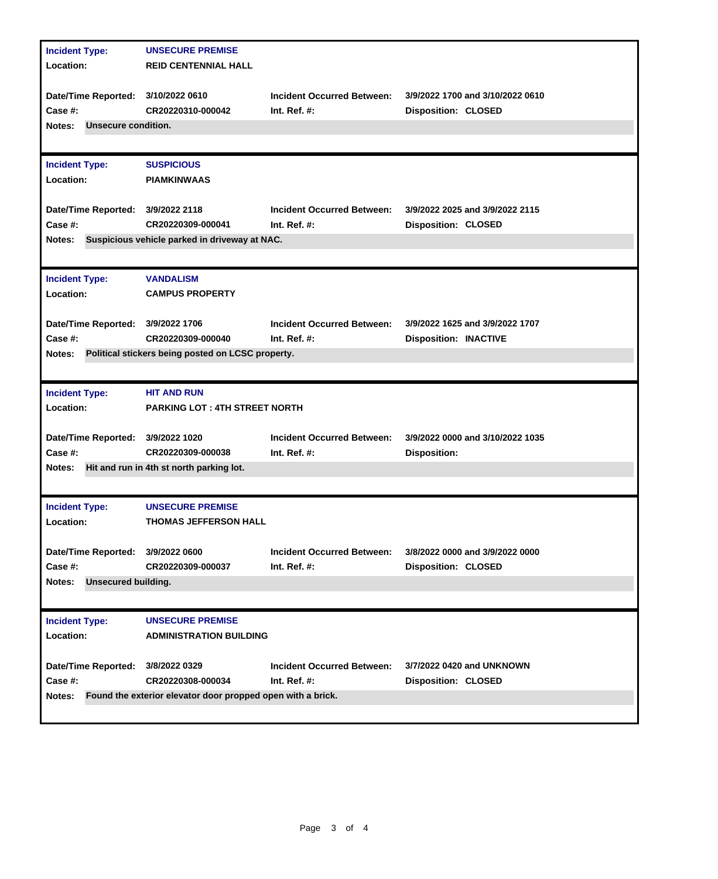| <b>Incident Type:</b>                               | <b>UNSECURE PREMISE</b>                                     |                                                      |                                  |
|-----------------------------------------------------|-------------------------------------------------------------|------------------------------------------------------|----------------------------------|
| Location:                                           | <b>REID CENTENNIAL HALL</b>                                 |                                                      |                                  |
|                                                     |                                                             |                                                      |                                  |
| Date/Time Reported: 3/10/2022 0610                  |                                                             | <b>Incident Occurred Between:</b>                    | 3/9/2022 1700 and 3/10/2022 0610 |
| Case #:                                             | CR20220310-000042                                           | Int. Ref. $#$ :                                      | <b>Disposition: CLOSED</b>       |
| Unsecure condition.<br>Notes:                       |                                                             |                                                      |                                  |
|                                                     |                                                             |                                                      |                                  |
| <b>Incident Type:</b>                               | <b>SUSPICIOUS</b>                                           |                                                      |                                  |
| Location:                                           | <b>PIAMKINWAAS</b>                                          |                                                      |                                  |
|                                                     |                                                             |                                                      |                                  |
| Date/Time Reported: 3/9/2022 2118<br><b>Case #:</b> | CR20220309-000041                                           | <b>Incident Occurred Between:</b><br>Int. Ref. $#$ : | 3/9/2022 2025 and 3/9/2022 2115  |
| Notes:                                              |                                                             |                                                      | <b>Disposition: CLOSED</b>       |
|                                                     | Suspicious vehicle parked in driveway at NAC.               |                                                      |                                  |
|                                                     |                                                             |                                                      |                                  |
| <b>Incident Type:</b>                               | <b>VANDALISM</b>                                            |                                                      |                                  |
| Location:                                           | <b>CAMPUS PROPERTY</b>                                      |                                                      |                                  |
|                                                     |                                                             |                                                      |                                  |
| Date/Time Reported: 3/9/2022 1706                   |                                                             | <b>Incident Occurred Between:</b>                    | 3/9/2022 1625 and 3/9/2022 1707  |
| <b>Case #:</b>                                      | CR20220309-000040                                           | Int. Ref. $#$ :                                      | <b>Disposition: INACTIVE</b>     |
| Notes:                                              | Political stickers being posted on LCSC property.           |                                                      |                                  |
|                                                     |                                                             |                                                      |                                  |
|                                                     |                                                             |                                                      |                                  |
| <b>Incident Type:</b>                               | <b>HIT AND RUN</b>                                          |                                                      |                                  |
| Location:                                           | <b>PARKING LOT: 4TH STREET NORTH</b>                        |                                                      |                                  |
|                                                     |                                                             |                                                      |                                  |
| Date/Time Reported: 3/9/2022 1020                   |                                                             | <b>Incident Occurred Between:</b>                    | 3/9/2022 0000 and 3/10/2022 1035 |
| Case #:                                             | CR20220309-000038                                           | Int. Ref. $#$ :                                      | <b>Disposition:</b>              |
| Notes:                                              | Hit and run in 4th st north parking lot.                    |                                                      |                                  |
|                                                     |                                                             |                                                      |                                  |
| <b>Incident Type:</b>                               | <b>UNSECURE PREMISE</b>                                     |                                                      |                                  |
| Location:                                           | <b>THOMAS JEFFERSON HALL</b>                                |                                                      |                                  |
|                                                     |                                                             |                                                      |                                  |
| <b>Date/Time Reported:</b>                          | 3/9/2022 0600                                               | <b>Incident Occurred Between:</b>                    | 3/8/2022 0000 and 3/9/2022 0000  |
| Case #:                                             | CR20220309-000037                                           | Int. Ref. $#$ :                                      | <b>Disposition: CLOSED</b>       |
| <b>Unsecured building.</b><br>Notes:                |                                                             |                                                      |                                  |
|                                                     |                                                             |                                                      |                                  |
| <b>Incident Type:</b>                               | <b>UNSECURE PREMISE</b>                                     |                                                      |                                  |
| Location:                                           | <b>ADMINISTRATION BUILDING</b>                              |                                                      |                                  |
|                                                     |                                                             |                                                      |                                  |
| Date/Time Reported:                                 | 3/8/2022 0329                                               | <b>Incident Occurred Between:</b>                    | 3/7/2022 0420 and UNKNOWN        |
| Case #:                                             | CR20220308-000034                                           | Int. Ref. $#$ :                                      | <b>Disposition: CLOSED</b>       |
| Notes:                                              | Found the exterior elevator door propped open with a brick. |                                                      |                                  |